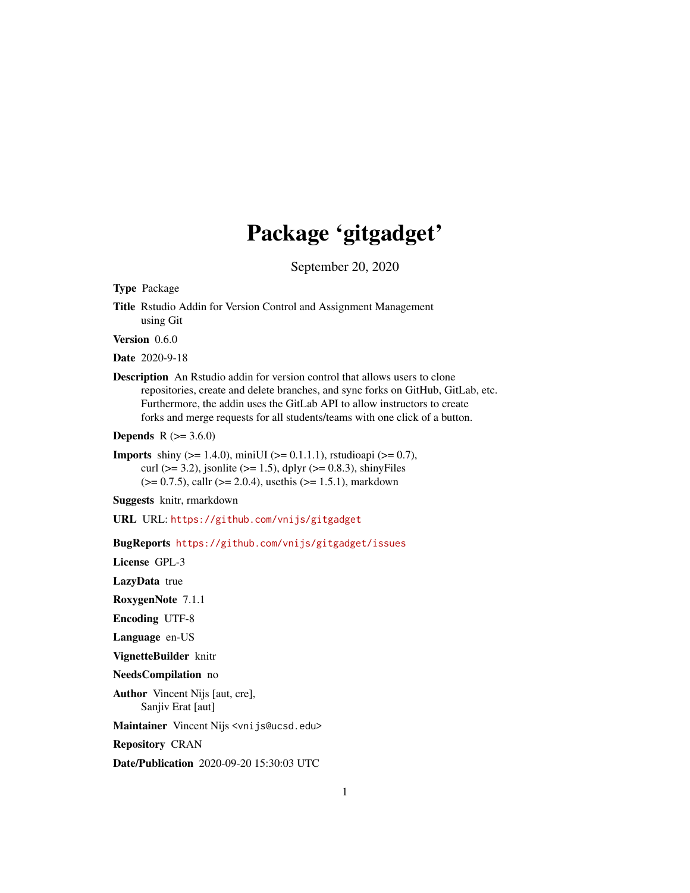# Package 'gitgadget'

September 20, 2020

Type Package

Title Rstudio Addin for Version Control and Assignment Management using Git

Version 0.6.0

Date 2020-9-18

Description An Rstudio addin for version control that allows users to clone repositories, create and delete branches, and sync forks on GitHub, GitLab, etc. Furthermore, the addin uses the GitLab API to allow instructors to create forks and merge requests for all students/teams with one click of a button.

**Depends**  $R (= 3.6.0)$ 

**Imports** shiny ( $>= 1.4.0$ ), miniUI ( $>= 0.1.1.1$ ), rstudioapi ( $>= 0.7$ ), curl ( $>= 3.2$ ), jsonlite ( $>= 1.5$ ), dplyr ( $>= 0.8.3$ ), shinyFiles  $(>= 0.7.5)$ , callr  $(>= 2.0.4)$ , usethis  $(>= 1.5.1)$ , markdown

Suggests knitr, rmarkdown

URL URL: <https://github.com/vnijs/gitgadget>

BugReports <https://github.com/vnijs/gitgadget/issues>

License GPL-3

LazyData true

RoxygenNote 7.1.1

Encoding UTF-8

Language en-US

VignetteBuilder knitr

NeedsCompilation no

Author Vincent Nijs [aut, cre], Sanjiv Erat [aut]

Maintainer Vincent Nijs <vnijs@ucsd.edu>

Repository CRAN

Date/Publication 2020-09-20 15:30:03 UTC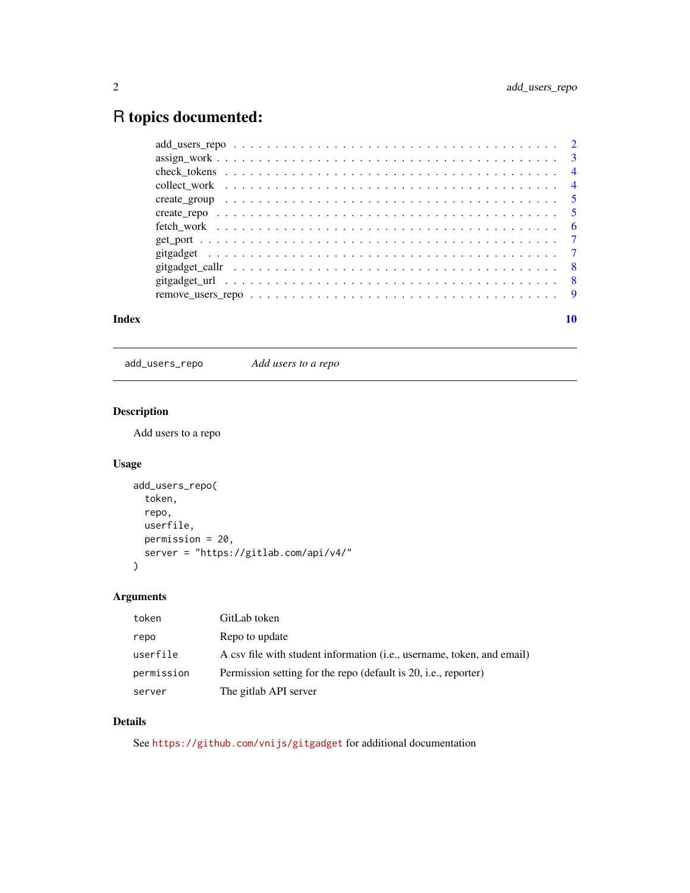# <span id="page-1-0"></span>R topics documented:

| fetch work $\dots \dots \dots \dots \dots \dots \dots \dots \dots \dots \dots \dots \dots \dots \dots \dots \dots \dots \dots$ |  |
|--------------------------------------------------------------------------------------------------------------------------------|--|
|                                                                                                                                |  |
|                                                                                                                                |  |
|                                                                                                                                |  |
|                                                                                                                                |  |
|                                                                                                                                |  |
|                                                                                                                                |  |

#### $\blacksquare$

add\_users\_repo *Add users to a repo*

# Description

Add users to a repo

# Usage

```
add_users_repo(
  token,
  repo,
  userfile,
  permission = 20,
  server = "https://gitlab.com/api/v4/"
)
```
# Arguments

| token      | GitLab token                                                           |
|------------|------------------------------------------------------------------------|
| repo       | Repo to update                                                         |
| userfile   | A csv file with student information (i.e., username, token, and email) |
| permission | Permission setting for the repo (default is 20, i.e., reporter)        |
| server     | The gitlab API server                                                  |

# Details

See <https://github.com/vnijs/gitgadget> for additional documentation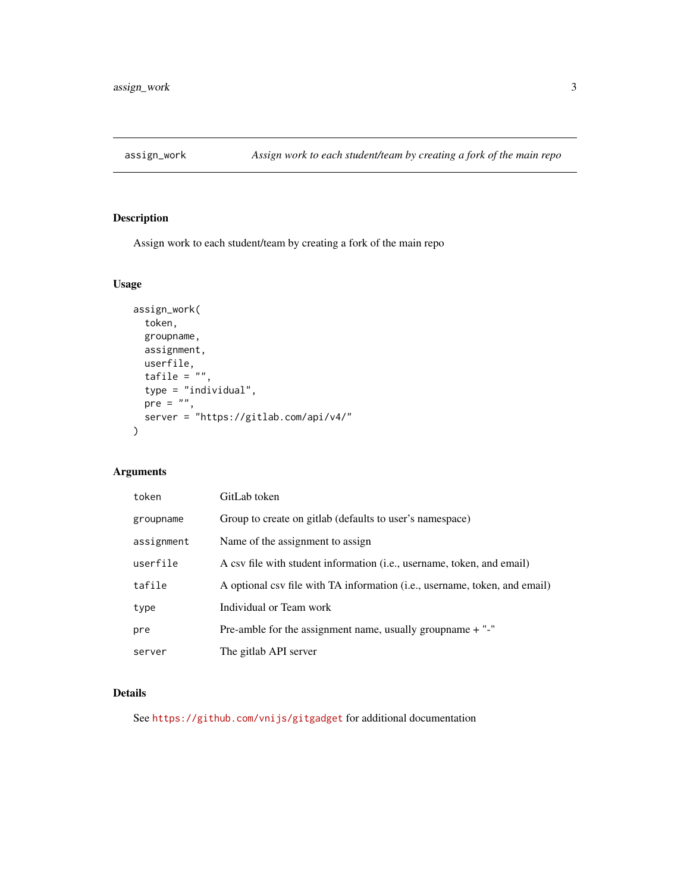<span id="page-2-0"></span>

# Description

Assign work to each student/team by creating a fork of the main repo

# Usage

```
assign_work(
  token,
 groupname,
 assignment,
 userfile,
  tafile = ",
  type = "individual",
  pre = "",
  server = "https://gitlab.com/api/v4/"
\mathcal{L}
```
# Arguments

| token      | GitLab token                                                               |
|------------|----------------------------------------------------------------------------|
| groupname  | Group to create on gitlab (defaults to user's namespace)                   |
| assignment | Name of the assignment to assign                                           |
| userfile   | A csv file with student information (i.e., username, token, and email)     |
| tafile     | A optional csv file with TA information (i.e., username, token, and email) |
| type       | Individual or Team work                                                    |
| pre        | Pre-amble for the assignment name, usually group name $+$ "-"              |
| server     | The gitlab API server                                                      |

# Details

See <https://github.com/vnijs/gitgadget> for additional documentation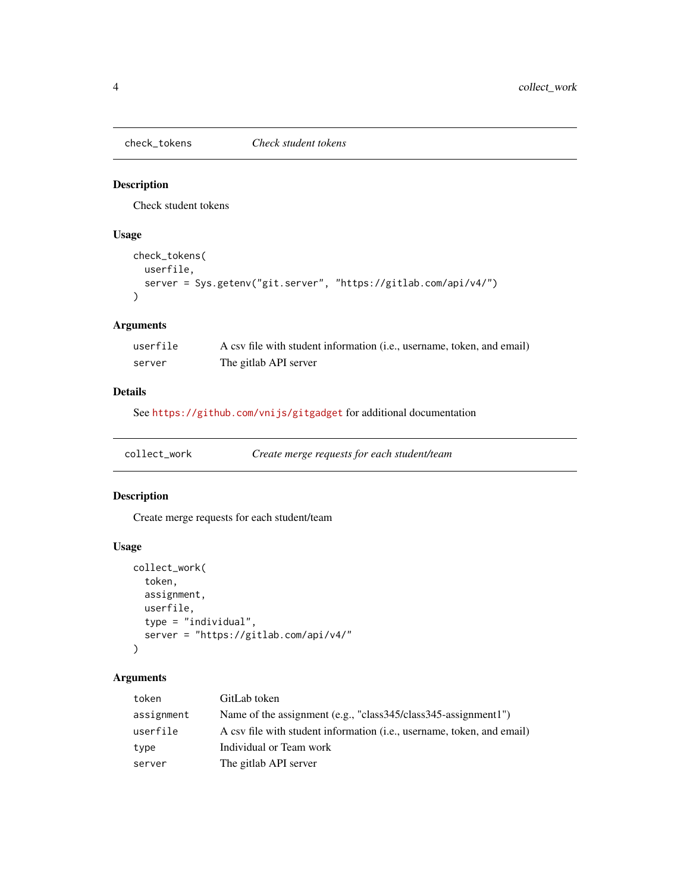<span id="page-3-0"></span>

# Description

Check student tokens

# Usage

```
check_tokens(
 userfile,
 server = Sys.getenv("git.server", "https://gitlab.com/api/v4/")
)
```
# Arguments

| userfile | A csv file with student information (i.e., username, token, and email) |
|----------|------------------------------------------------------------------------|
| server   | The gitlab API server                                                  |

# Details

See <https://github.com/vnijs/gitgadget> for additional documentation

# Description

Create merge requests for each student/team

# Usage

```
collect_work(
  token,
  assignment,
  userfile,
  type = "individual",
  server = "https://gitlab.com/api/v4/"
\mathcal{L}
```
# Arguments

| token      | GitLab token                                                           |
|------------|------------------------------------------------------------------------|
| assignment | Name of the assignment (e.g., "class345/class345-assignment1")         |
| userfile   | A csy file with student information (i.e., username, token, and email) |
| type       | Individual or Team work                                                |
| server     | The gitlab API server                                                  |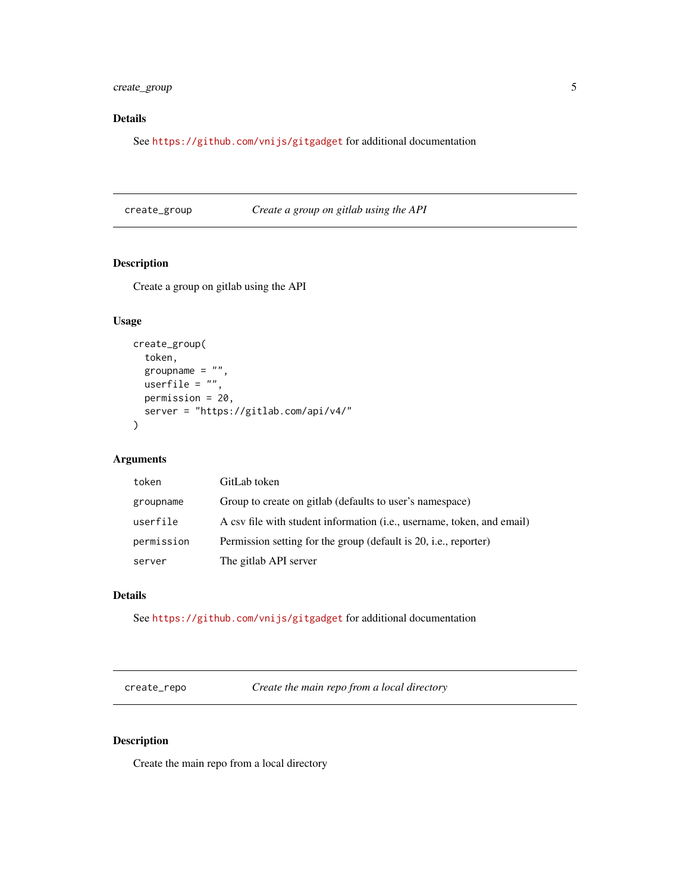<span id="page-4-0"></span>create\_group 5

# Details

See <https://github.com/vnijs/gitgadget> for additional documentation

create\_group *Create a group on gitlab using the API*

# Description

Create a group on gitlab using the API

#### Usage

```
create_group(
  token,
  groupname = ",
 userfile = ",
 permission = 20,
 server = "https://gitlab.com/api/v4/"
)
```
# Arguments

| token      | GitLab token                                                           |
|------------|------------------------------------------------------------------------|
| groupname  | Group to create on gitlab (defaults to user's namespace)               |
| userfile   | A csv file with student information (i.e., username, token, and email) |
| permission | Permission setting for the group (default is 20, i.e., reporter)       |
| server     | The gitlab API server                                                  |

# Details

See <https://github.com/vnijs/gitgadget> for additional documentation

create\_repo *Create the main repo from a local directory*

# Description

Create the main repo from a local directory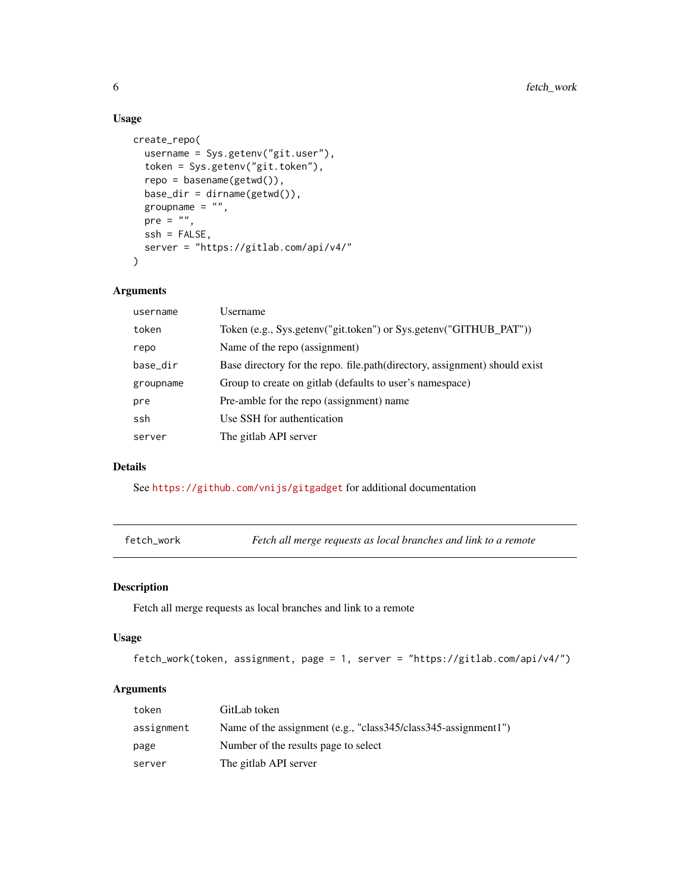### Usage

```
create_repo(
  username = Sys.getenv("git.user"),
  token = Sys.getenv("git.token"),
  repo = basename(getwd()),
  base\_dir = dirname(getwd()),
  groupname = ",
  pre = "",ssh = FALSE,
  server = "https://gitlab.com/api/v4/"
\mathcal{L}
```
#### Arguments

| username  | Username                                                                   |
|-----------|----------------------------------------------------------------------------|
| token     | Token (e.g., Sys.getenv("git.token") or Sys.getenv("GITHUB_PAT"))          |
| repo      | Name of the repo (assignment)                                              |
| base_dir  | Base directory for the repo. file.path(directory, assignment) should exist |
| groupname | Group to create on gitlab (defaults to user's namespace)                   |
| pre       | Pre-amble for the repo (assignment) name                                   |
| ssh       | Use SSH for authentication                                                 |
| server    | The gitlab API server                                                      |
|           |                                                                            |

# Details

See <https://github.com/vnijs/gitgadget> for additional documentation

fetch\_work *Fetch all merge requests as local branches and link to a remote*

# Description

Fetch all merge requests as local branches and link to a remote

# Usage

```
fetch_work(token, assignment, page = 1, server = "https://gitlab.com/api/v4/")
```
# Arguments

| token      | GitLab token                                                   |
|------------|----------------------------------------------------------------|
| assignment | Name of the assignment (e.g., "class345/class345-assignment1") |
| page       | Number of the results page to select                           |
| server     | The gitlab API server                                          |

<span id="page-5-0"></span>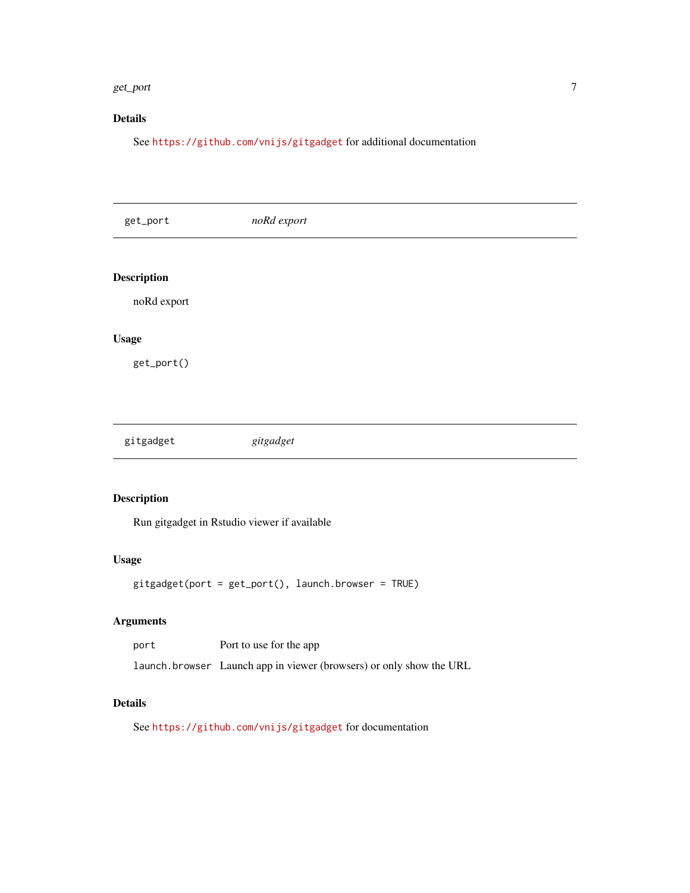#### <span id="page-6-0"></span>get\_port 7

# Details

See <https://github.com/vnijs/gitgadget> for additional documentation

| get_port           | noRd export |  |  |
|--------------------|-------------|--|--|
|                    |             |  |  |
| <b>Description</b> |             |  |  |
| noRd export        |             |  |  |
| <b>Usage</b>       |             |  |  |
| get_port()         |             |  |  |
|                    |             |  |  |
|                    |             |  |  |
| gitgadget          | gitgadget   |  |  |
|                    |             |  |  |

# Description

Run gitgadget in Rstudio viewer if available

#### Usage

gitgadget(port = get\_port(), launch.browser = TRUE)

# Arguments

| port | Port to use for the app                                             |
|------|---------------------------------------------------------------------|
|      | launch browser Launch app in viewer (browsers) or only show the URL |

# Details

See <https://github.com/vnijs/gitgadget> for documentation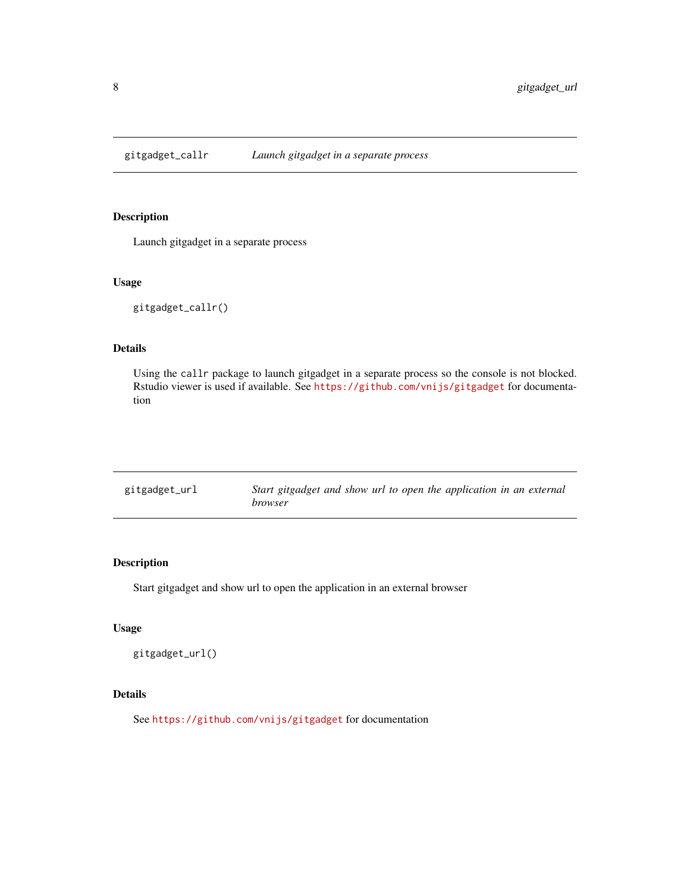<span id="page-7-0"></span>gitgadget\_callr *Launch gitgadget in a separate process*

# Description

Launch gitgadget in a separate process

#### Usage

gitgadget\_callr()

# Details

Using the callr package to launch gitgadget in a separate process so the console is not blocked. Rstudio viewer is used if available. See <https://github.com/vnijs/gitgadget> for documentation

| gitgadget_url | Start gitgadget and show url to open the application in an external |
|---------------|---------------------------------------------------------------------|
|               | <i>browser</i>                                                      |

# Description

Start gitgadget and show url to open the application in an external browser

#### Usage

```
gitgadget_url()
```
# Details

See <https://github.com/vnijs/gitgadget> for documentation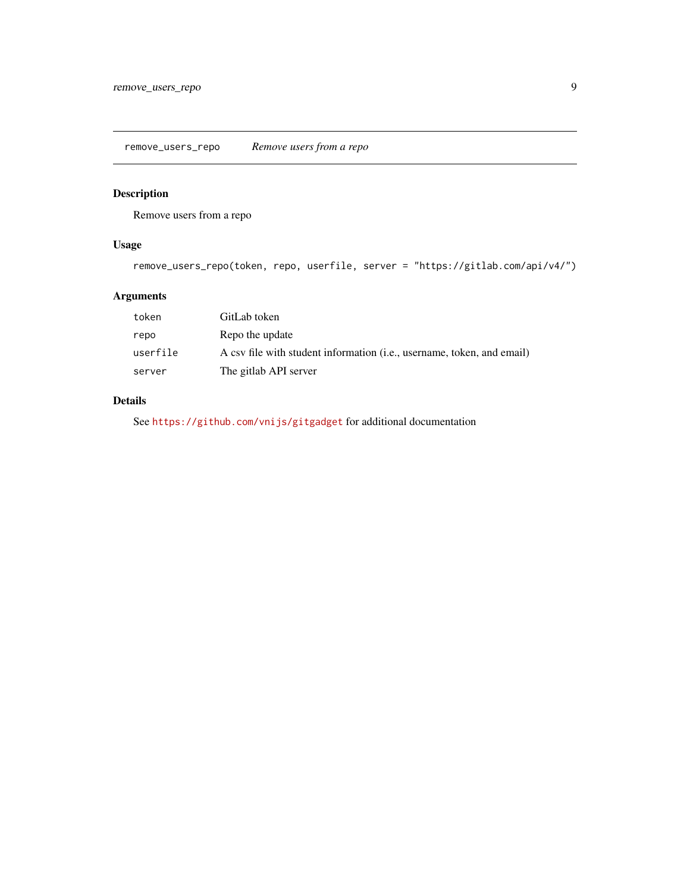<span id="page-8-0"></span>remove\_users\_repo *Remove users from a repo*

# Description

Remove users from a repo

# Usage

```
remove_users_repo(token, repo, userfile, server = "https://gitlab.com/api/v4/")
```
# Arguments

| token    | GitLab token                                                           |
|----------|------------------------------------------------------------------------|
| repo     | Repo the update                                                        |
| userfile | A csy file with student information (i.e., username, token, and email) |
| server   | The gitlab API server                                                  |

# Details

See <https://github.com/vnijs/gitgadget> for additional documentation